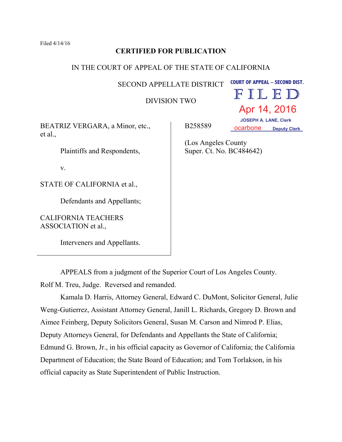Filed 4/14/16

# **CERTIFIED FOR PUBLICATION**

## IN THE COURT OF APPEAL OF THE STATE OF CALIFORNIA

SECOND APPELLATE DISTRICT **COURT OF APPEAL – SECOND DIST.** 

DIVISION TWO

FILED Apr 14, 2016

BEATRIZ VERGARA, a Minor, etc., et al.,

Plaintiffs and Respondents,

v.

STATE OF CALIFORNIA et al.,

Defendants and Appellants;

CALIFORNIA TEACHERS ASSOCIATION et al.,

Interveners and Appellants.

APPEALS from a judgment of the Superior Court of Los Angeles County. Rolf M. Treu, Judge. Reversed and remanded.

Kamala D. Harris, Attorney General, Edward C. DuMont, Solicitor General, Julie Weng-Gutierrez, Assistant Attorney General, Janill L. Richards, Gregory D. Brown and Aimee Feinberg, Deputy Solicitors General, Susan M. Carson and Nimrod P. Elias, Deputy Attorneys General, for Defendants and Appellants the State of California; Edmund G. Brown, Jr., in his official capacity as Governor of California; the California Department of Education; the State Board of Education; and Tom Torlakson, in his official capacity as State Superintendent of Public Instruction.

B258589

 **JOSEPH A. LANE, Clerk OCARDONE** Deputy Clerk

(Los Angeles County Super. Ct. No. BC484642)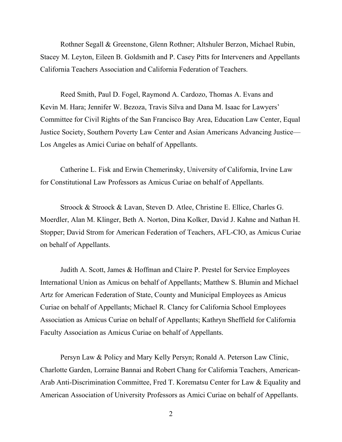Rothner Segall & Greenstone, Glenn Rothner; Altshuler Berzon, Michael Rubin, Stacey M. Leyton, Eileen B. Goldsmith and P. Casey Pitts for Interveners and Appellants California Teachers Association and California Federation of Teachers.

Reed Smith, Paul D. Fogel, Raymond A. Cardozo, Thomas A. Evans and Kevin M. Hara; Jennifer W. Bezoza, Travis Silva and Dana M. Isaac for Lawyers' Committee for Civil Rights of the San Francisco Bay Area, Education Law Center, Equal Justice Society, Southern Poverty Law Center and Asian Americans Advancing Justice— Los Angeles as Amici Curiae on behalf of Appellants.

Catherine L. Fisk and Erwin Chemerinsky, University of California, Irvine Law for Constitutional Law Professors as Amicus Curiae on behalf of Appellants.

Stroock & Stroock & Lavan, Steven D. Atlee, Christine E. Ellice, Charles G. Moerdler, Alan M. Klinger, Beth A. Norton, Dina Kolker, David J. Kahne and Nathan H. Stopper; David Strom for American Federation of Teachers, AFL-CIO, as Amicus Curiae on behalf of Appellants.

Judith A. Scott, James & Hoffman and Claire P. Prestel for Service Employees International Union as Amicus on behalf of Appellants; Matthew S. Blumin and Michael Artz for American Federation of State, County and Municipal Employees as Amicus Curiae on behalf of Appellants; Michael R. Clancy for California School Employees Association as Amicus Curiae on behalf of Appellants; Kathryn Sheffield for California Faculty Association as Amicus Curiae on behalf of Appellants.

Persyn Law & Policy and Mary Kelly Persyn; Ronald A. Peterson Law Clinic, Charlotte Garden, Lorraine Bannai and Robert Chang for California Teachers, American-Arab Anti-Discrimination Committee, Fred T. Korematsu Center for Law & Equality and American Association of University Professors as Amici Curiae on behalf of Appellants.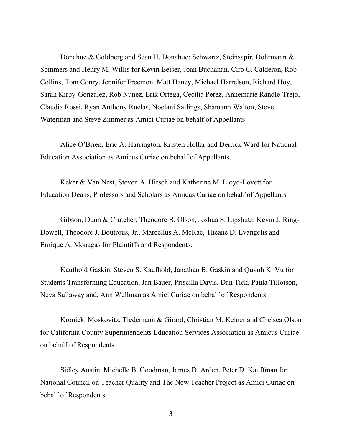Donahue & Goldberg and Sean H. Donahue; Schwartz, Steinsapir, Dohrmann & Sommers and Henry M. Willis for Kevin Beiser, Joan Buchanan, Ciro C. Calderon, Rob Collins, Tom Conry, Jennifer Freemon, Matt Haney, Michael Harrelson, Richard Hoy, Sarah Kirby-Gonzalez, Rob Nunez, Erik Ortega, Cecilia Perez, Annemarie Randle-Trejo, Claudia Rossi, Ryan Anthony Ruelas, Noelani Sallings, Shamann Walton, Steve Waterman and Steve Zimmer as Amici Curiae on behalf of Appellants.

Alice O'Brien, Eric A. Harrington, Kristen Hollar and Derrick Ward for National Education Association as Amicus Curiae on behalf of Appellants.

Keker & Van Nest, Steven A. Hirsch and Katherine M. Lloyd-Lovett for Education Deans, Professors and Scholars as Amicus Curiae on behalf of Appellants.

Gibson, Dunn & Crutcher, Theodore B. Olson, Joshua S. Lipshutz, Kevin J. Ring-Dowell, Theodore J. Boutrous, Jr., Marcellus A. McRae, Theane D. Evangelis and Enrique A. Monagas for Plaintiffs and Respondents.

Kaufhold Gaskin, Steven S. Kaufhold, Janathan B. Gaskin and Quynh K. Vu for Students Transforming Education, Jan Bauer, Priscilla Davis, Dan Tick, Paula Tillotson, Neva Sullaway and, Ann Wellman as Amici Curiae on behalf of Respondents.

Kronick, Moskovitz, Tiedemann & Girard, Christian M. Keiner and Chelsea Olson for California County Superintendents Education Services Association as Amicus Curiae on behalf of Respondents.

Sidley Austin, Michelle B. Goodman, James D. Arden, Peter D. Kauffman for National Council on Teacher Quality and The New Teacher Project as Amici Curiae on behalf of Respondents.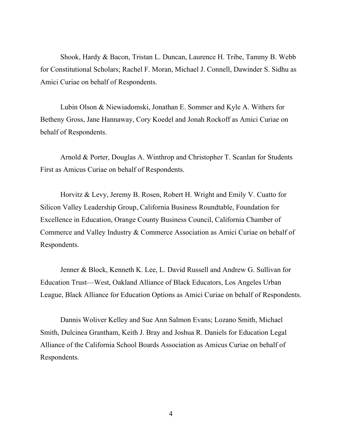Shook, Hardy & Bacon, Tristan L. Duncan, Laurence H. Tribe, Tammy B. Webb for Constitutional Scholars; Rachel F. Moran, Michael J. Connell, Dawinder S. Sidhu as Amici Curiae on behalf of Respondents.

Lubin Olson & Niewiadomski, Jonathan E. Sommer and Kyle A. Withers for Betheny Gross, Jane Hannaway, Cory Koedel and Jonah Rockoff as Amici Curiae on behalf of Respondents.

Arnold & Porter, Douglas A. Winthrop and Christopher T. Scanlan for Students First as Amicus Curiae on behalf of Respondents.

Horvitz & Levy, Jeremy B. Rosen, Robert H. Wright and Emily V. Cuatto for Silicon Valley Leadership Group, California Business Roundtable, Foundation for Excellence in Education, Orange County Business Council, California Chamber of Commerce and Valley Industry & Commerce Association as Amici Curiae on behalf of Respondents.

Jenner & Block, Kenneth K. Lee, L. David Russell and Andrew G. Sullivan for Education Trust—West, Oakland Alliance of Black Educators, Los Angeles Urban League, Black Alliance for Education Options as Amici Curiae on behalf of Respondents.

Dannis Woliver Kelley and Sue Ann Salmon Evans; Lozano Smith, Michael Smith, Dulcinea Grantham, Keith J. Bray and Joshua R. Daniels for Education Legal Alliance of the California School Boards Association as Amicus Curiae on behalf of Respondents.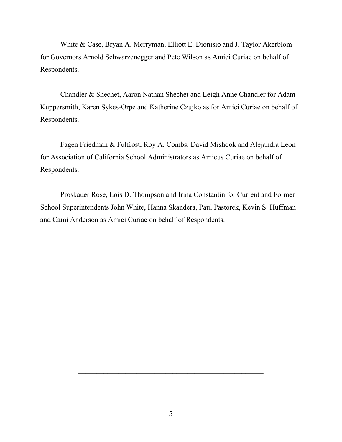White & Case, Bryan A. Merryman, Elliott E. Dionisio and J. Taylor Akerblom for Governors Arnold Schwarzenegger and Pete Wilson as Amici Curiae on behalf of Respondents.

Chandler & Shechet, Aaron Nathan Shechet and Leigh Anne Chandler for Adam Kuppersmith, Karen Sykes-Orpe and Katherine Czujko as for Amici Curiae on behalf of Respondents.

Fagen Friedman & Fulfrost, Roy A. Combs, David Mishook and Alejandra Leon for Association of California School Administrators as Amicus Curiae on behalf of Respondents.

Proskauer Rose, Lois D. Thompson and Irina Constantin for Current and Former School Superintendents John White, Hanna Skandera, Paul Pastorek, Kevin S. Huffman and Cami Anderson as Amici Curiae on behalf of Respondents.

 $\mathcal{L}_\text{max} = \mathcal{L}_\text{max} = \mathcal{L}_\text{max} = \mathcal{L}_\text{max} = \mathcal{L}_\text{max} = \mathcal{L}_\text{max} = \mathcal{L}_\text{max} = \mathcal{L}_\text{max} = \mathcal{L}_\text{max} = \mathcal{L}_\text{max} = \mathcal{L}_\text{max} = \mathcal{L}_\text{max} = \mathcal{L}_\text{max} = \mathcal{L}_\text{max} = \mathcal{L}_\text{max} = \mathcal{L}_\text{max} = \mathcal{L}_\text{max} = \mathcal{L}_\text{max} = \mathcal{$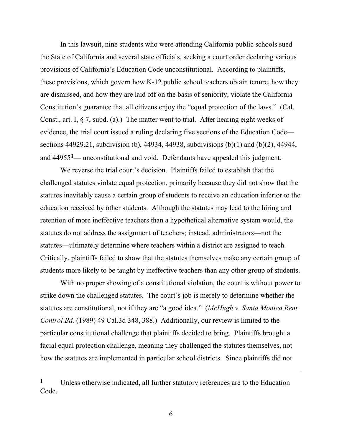In this lawsuit, nine students who were attending California public schools sued the State of California and several state officials, seeking a court order declaring various provisions of California's Education Code unconstitutional. According to plaintiffs, these provisions, which govern how K-12 public school teachers obtain tenure, how they are dismissed, and how they are laid off on the basis of seniority, violate the California Constitution's guarantee that all citizens enjoy the "equal protection of the laws." (Cal. Const., art. I, § 7, subd. (a).) The matter went to trial. After hearing eight weeks of evidence, the trial court issued a ruling declaring five sections of the Education Code sections 44929.21, subdivision (b), 44934, 44938, subdivisions (b)(1) and (b)(2), 44944, and 44955**1**— unconstitutional and void. Defendants have appealed this judgment.

We reverse the trial court's decision. Plaintiffs failed to establish that the challenged statutes violate equal protection, primarily because they did not show that the statutes inevitably cause a certain group of students to receive an education inferior to the education received by other students. Although the statutes may lead to the hiring and retention of more ineffective teachers than a hypothetical alternative system would, the statutes do not address the assignment of teachers; instead, administrators—not the statutes—ultimately determine where teachers within a district are assigned to teach. Critically, plaintiffs failed to show that the statutes themselves make any certain group of students more likely to be taught by ineffective teachers than any other group of students.

With no proper showing of a constitutional violation, the court is without power to strike down the challenged statutes. The court's job is merely to determine whether the statutes are constitutional, not if they are "a good idea." (*McHugh v. Santa Monica Rent Control Bd.* (1989) 49 Cal.3d 348, 388.) Additionally, our review is limited to the particular constitutional challenge that plaintiffs decided to bring. Plaintiffs brought a facial equal protection challenge, meaning they challenged the statutes themselves, not how the statutes are implemented in particular school districts. Since plaintiffs did not

**<sup>1</sup>** Unless otherwise indicated, all further statutory references are to the Education Code.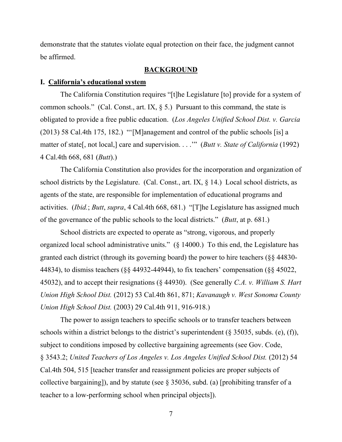demonstrate that the statutes violate equal protection on their face, the judgment cannot be affirmed.

#### **BACKGROUND**

#### **I. California's educational system**

The California Constitution requires "[t]he Legislature [to] provide for a system of common schools." (Cal. Const., art. IX,  $\S$  5.) Pursuant to this command, the state is obligated to provide a free public education. (*Los Angeles Unified School Dist. v. Garcia* (2013) 58 Cal.4th 175, 182.) "'[M]anagement and control of the public schools [is] a matter of state[, not local,] care and supervision. . . .'" (*Butt v. State of California* (1992) 4 Cal.4th 668, 681 (*Butt*).)

The California Constitution also provides for the incorporation and organization of school districts by the Legislature. (Cal. Const., art. IX,  $\S$  14.) Local school districts, as agents of the state, are responsible for implementation of educational programs and activities. (*Ibid.*; *Butt*, *supra*, 4 Cal.4th 668, 681.) "[T]he Legislature has assigned much of the governance of the public schools to the local districts." (*Butt*, at p. 681.)

School districts are expected to operate as "strong, vigorous, and properly organized local school administrative units." (§ 14000.) To this end, the Legislature has granted each district (through its governing board) the power to hire teachers (§§ 44830- 44834), to dismiss teachers (§§ 44932-44944), to fix teachers' compensation (§§ 45022, 45032), and to accept their resignations (§ 44930). (See generally *C.A. v. William S. Hart Union High School Dist.* (2012) 53 Cal.4th 861, 871; *Kavanaugh v. West Sonoma County Union High School Dist.* (2003) 29 Cal.4th 911, 916-918.)

The power to assign teachers to specific schools or to transfer teachers between schools within a district belongs to the district's superintendent (§ 35035, subds. (e), (f)), subject to conditions imposed by collective bargaining agreements (see Gov. Code, § 3543.2; *United Teachers of Los Angeles v. Los Angeles Unified School Dist.* (2012) 54 Cal.4th 504, 515 [teacher transfer and reassignment policies are proper subjects of collective bargaining]), and by statute (see § 35036, subd. (a) [prohibiting transfer of a teacher to a low-performing school when principal objects]).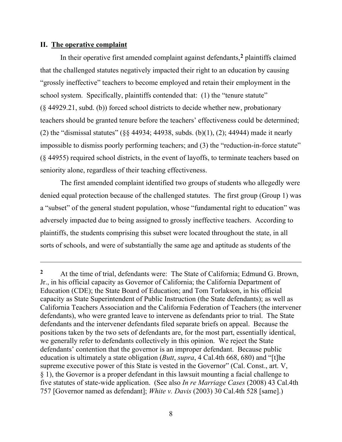#### **II. The operative complaint**

In their operative first amended complaint against defendants,**<sup>2</sup>** plaintiffs claimed that the challenged statutes negatively impacted their right to an education by causing "grossly ineffective" teachers to become employed and retain their employment in the school system. Specifically, plaintiffs contended that: (1) the "tenure statute" (§ 44929.21, subd. (b)) forced school districts to decide whether new, probationary teachers should be granted tenure before the teachers' effectiveness could be determined; (2) the "dismissal statutes" (§§ 44934; 44938, subds. (b)(1), (2); 44944) made it nearly impossible to dismiss poorly performing teachers; and (3) the "reduction-in-force statute" (§ 44955) required school districts, in the event of layoffs, to terminate teachers based on seniority alone, regardless of their teaching effectiveness.

The first amended complaint identified two groups of students who allegedly were denied equal protection because of the challenged statutes. The first group (Group 1) was a "subset" of the general student population, whose "fundamental right to education" was adversely impacted due to being assigned to grossly ineffective teachers. According to plaintiffs, the students comprising this subset were located throughout the state, in all sorts of schools, and were of substantially the same age and aptitude as students of the

**<sup>2</sup>** At the time of trial, defendants were: The State of California; Edmund G. Brown, Jr., in his official capacity as Governor of California; the California Department of Education (CDE); the State Board of Education; and Tom Torlakson, in his official capacity as State Superintendent of Public Instruction (the State defendants); as well as California Teachers Association and the California Federation of Teachers (the intervener defendants), who were granted leave to intervene as defendants prior to trial. The State defendants and the intervener defendants filed separate briefs on appeal. Because the positions taken by the two sets of defendants are, for the most part, essentially identical, we generally refer to defendants collectively in this opinion. We reject the State defendants' contention that the governor is an improper defendant. Because public education is ultimately a state obligation (*Butt*, *supra*, 4 Cal.4th 668, 680) and "[t]he supreme executive power of this State is vested in the Governor" (Cal. Const., art. V, § 1), the Governor is a proper defendant in this lawsuit mounting a facial challenge to five statutes of state-wide application. (See also *In re Marriage Cases* (2008) 43 Cal.4th 757 [Governor named as defendant]; *White v. Davis* (2003) 30 Cal.4th 528 [same].)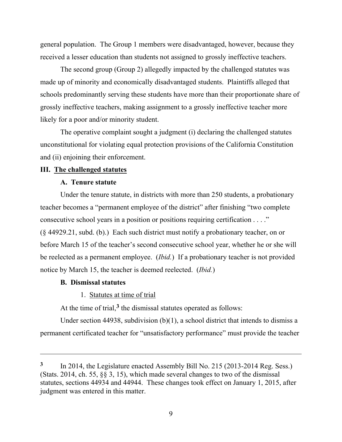general population. The Group 1 members were disadvantaged, however, because they received a lesser education than students not assigned to grossly ineffective teachers.

The second group (Group 2) allegedly impacted by the challenged statutes was made up of minority and economically disadvantaged students. Plaintiffs alleged that schools predominantly serving these students have more than their proportionate share of grossly ineffective teachers, making assignment to a grossly ineffective teacher more likely for a poor and/or minority student.

The operative complaint sought a judgment (i) declaring the challenged statutes unconstitutional for violating equal protection provisions of the California Constitution and (ii) enjoining their enforcement.

### **III. The challenged statutes**

## **A. Tenure statute**

Under the tenure statute, in districts with more than 250 students, a probationary teacher becomes a "permanent employee of the district" after finishing "two complete consecutive school years in a position or positions requiring certification . . . ." (§ 44929.21, subd. (b).) Each such district must notify a probationary teacher, on or before March 15 of the teacher's second consecutive school year, whether he or she will be reelected as a permanent employee. (*Ibid.*) If a probationary teacher is not provided notice by March 15, the teacher is deemed reelected. (*Ibid.*)

### **B. Dismissal statutes**

1. Statutes at time of trial

At the time of trial,**<sup>3</sup>** the dismissal statutes operated as follows:

Under section 44938, subdivision (b)(1), a school district that intends to dismiss a permanent certificated teacher for "unsatisfactory performance" must provide the teacher

**<sup>3</sup>** In 2014, the Legislature enacted Assembly Bill No. 215 (2013-2014 Reg. Sess.) (Stats. 2014, ch. 55, §§ 3, 15), which made several changes to two of the dismissal statutes, sections 44934 and 44944. These changes took effect on January 1, 2015, after judgment was entered in this matter.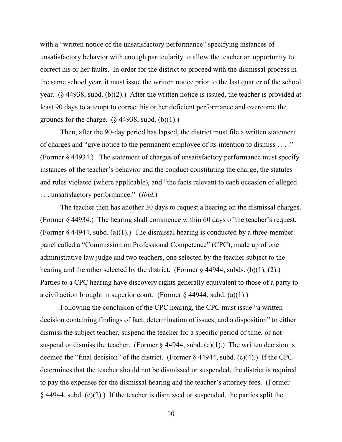with a "written notice of the unsatisfactory performance" specifying instances of unsatisfactory behavior with enough particularity to allow the teacher an opportunity to correct his or her faults. In order for the district to proceed with the dismissal process in the same school year, it must issue the written notice prior to the last quarter of the school year. (§ 44938, subd. (b)(2).) After the written notice is issued, the teacher is provided at least 90 days to attempt to correct his or her deficient performance and overcome the grounds for the charge.  $(\S$  44938, subd.  $(b)(1)$ .)

Then, after the 90-day period has lapsed, the district must file a written statement of charges and "give notice to the permanent employee of its intention to dismiss . . . ." (Former § 44934.) The statement of charges of unsatisfactory performance must specify instances of the teacher's behavior and the conduct constituting the charge, the statutes and rules violated (where applicable), and "the facts relevant to each occasion of alleged . . . unsatisfactory performance." (*Ibid.*)

The teacher then has another 30 days to request a hearing on the dismissal charges. (Former § 44934.) The hearing shall commence within 60 days of the teacher's request. (Former  $\S$  44944, subd. (a)(1).) The dismissal hearing is conducted by a three-member panel called a "Commission on Professional Competence" (CPC), made up of one administrative law judge and two teachers, one selected by the teacher subject to the hearing and the other selected by the district. (Former  $\S$  44944, subds. (b)(1), (2).) Parties to a CPC hearing have discovery rights generally equivalent to those of a party to a civil action brought in superior court. (Former  $\S$  44944, subd. (a)(1).)

Following the conclusion of the CPC hearing, the CPC must issue "a written decision containing findings of fact, determination of issues, and a disposition" to either dismiss the subject teacher, suspend the teacher for a specific period of time, or not suspend or dismiss the teacher. (Former  $\S$  44944, subd. (c)(1).) The written decision is deemed the "final decision" of the district. (Former § 44944, subd. (c)(4).) If the CPC determines that the teacher should not be dismissed or suspended, the district is required to pay the expenses for the dismissal hearing and the teacher's attorney fees. (Former § 44944, subd. (e)(2).) If the teacher is dismissed or suspended, the parties split the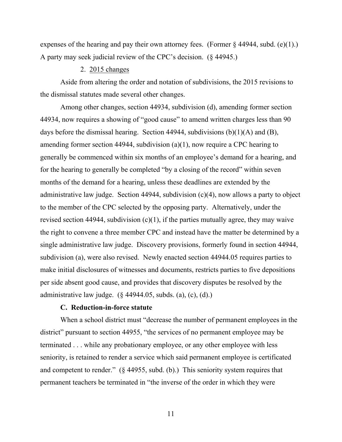expenses of the hearing and pay their own attorney fees. (Former § 44944, subd. (e)(1).) A party may seek judicial review of the CPC's decision. (§ 44945.)

## 2. 2015 changes

Aside from altering the order and notation of subdivisions, the 2015 revisions to the dismissal statutes made several other changes.

Among other changes, section 44934, subdivision (d), amending former section 44934, now requires a showing of "good cause" to amend written charges less than 90 days before the dismissal hearing. Section 44944, subdivisions (b)(1)(A) and (B), amending former section 44944, subdivision (a)(1), now require a CPC hearing to generally be commenced within six months of an employee's demand for a hearing, and for the hearing to generally be completed "by a closing of the record" within seven months of the demand for a hearing, unless these deadlines are extended by the administrative law judge. Section 44944, subdivision (c)(4), now allows a party to object to the member of the CPC selected by the opposing party. Alternatively, under the revised section 44944, subdivision  $(c)(1)$ , if the parties mutually agree, they may waive the right to convene a three member CPC and instead have the matter be determined by a single administrative law judge. Discovery provisions, formerly found in section 44944, subdivision (a), were also revised. Newly enacted section 44944.05 requires parties to make initial disclosures of witnesses and documents, restricts parties to five depositions per side absent good cause, and provides that discovery disputes be resolved by the administrative law judge.  $(\S$  44944.05, subds. (a), (c), (d).)

### **C. Reduction-in-force statute**

When a school district must "decrease the number of permanent employees in the district" pursuant to section 44955, "the services of no permanent employee may be terminated . . . while any probationary employee, or any other employee with less seniority, is retained to render a service which said permanent employee is certificated and competent to render." (§ 44955, subd. (b).) This seniority system requires that permanent teachers be terminated in "the inverse of the order in which they were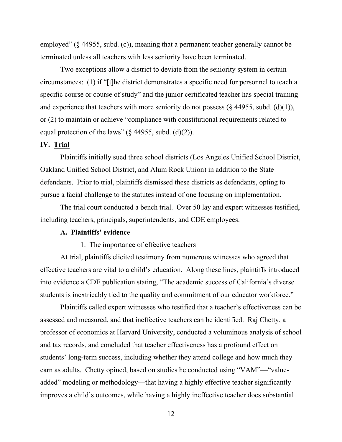employed" (§ 44955, subd. (c)), meaning that a permanent teacher generally cannot be terminated unless all teachers with less seniority have been terminated.

Two exceptions allow a district to deviate from the seniority system in certain circumstances: (1) if "[t]he district demonstrates a specific need for personnel to teach a specific course or course of study" and the junior certificated teacher has special training and experience that teachers with more seniority do not possess ( $\S$  44955, subd. (d)(1)), or (2) to maintain or achieve "compliance with constitutional requirements related to equal protection of the laws" ( $\S$  44955, subd. (d)(2)).

## **IV. Trial**

Plaintiffs initially sued three school districts (Los Angeles Unified School District, Oakland Unified School District, and Alum Rock Union) in addition to the State defendants. Prior to trial, plaintiffs dismissed these districts as defendants, opting to pursue a facial challenge to the statutes instead of one focusing on implementation.

The trial court conducted a bench trial. Over 50 lay and expert witnesses testified, including teachers, principals, superintendents, and CDE employees.

### **A. Plaintiffs' evidence**

#### 1. The importance of effective teachers

At trial, plaintiffs elicited testimony from numerous witnesses who agreed that effective teachers are vital to a child's education. Along these lines, plaintiffs introduced into evidence a CDE publication stating, "The academic success of California's diverse students is inextricably tied to the quality and commitment of our educator workforce."

Plaintiffs called expert witnesses who testified that a teacher's effectiveness can be assessed and measured, and that ineffective teachers can be identified. Raj Chetty, a professor of economics at Harvard University, conducted a voluminous analysis of school and tax records, and concluded that teacher effectiveness has a profound effect on students' long-term success, including whether they attend college and how much they earn as adults. Chetty opined, based on studies he conducted using "VAM"—"valueadded" modeling or methodology—that having a highly effective teacher significantly improves a child's outcomes, while having a highly ineffective teacher does substantial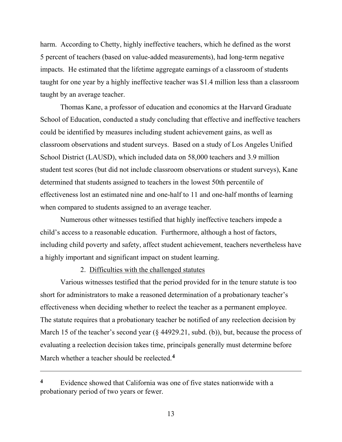harm. According to Chetty, highly ineffective teachers, which he defined as the worst 5 percent of teachers (based on value-added measurements), had long-term negative impacts. He estimated that the lifetime aggregate earnings of a classroom of students taught for one year by a highly ineffective teacher was \$1.4 million less than a classroom taught by an average teacher.

Thomas Kane, a professor of education and economics at the Harvard Graduate School of Education, conducted a study concluding that effective and ineffective teachers could be identified by measures including student achievement gains, as well as classroom observations and student surveys. Based on a study of Los Angeles Unified School District (LAUSD), which included data on 58,000 teachers and 3.9 million student test scores (but did not include classroom observations or student surveys), Kane determined that students assigned to teachers in the lowest 50th percentile of effectiveness lost an estimated nine and one-half to 11 and one-half months of learning when compared to students assigned to an average teacher.

Numerous other witnesses testified that highly ineffective teachers impede a child's access to a reasonable education. Furthermore, although a host of factors, including child poverty and safety, affect student achievement, teachers nevertheless have a highly important and significant impact on student learning.

## 2. Difficulties with the challenged statutes

Various witnesses testified that the period provided for in the tenure statute is too short for administrators to make a reasoned determination of a probationary teacher's effectiveness when deciding whether to reelect the teacher as a permanent employee. The statute requires that a probationary teacher be notified of any reelection decision by March 15 of the teacher's second year (§ 44929.21, subd. (b)), but, because the process of evaluating a reelection decision takes time, principals generally must determine before March whether a teacher should be reelected.**<sup>4</sup>**

**<sup>4</sup>** Evidence showed that California was one of five states nationwide with a probationary period of two years or fewer.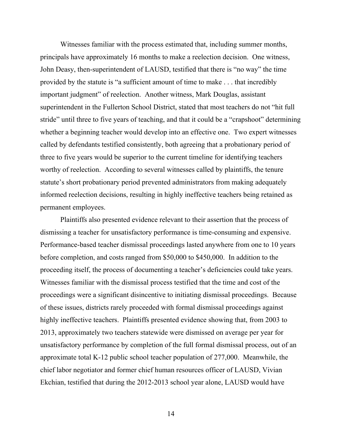Witnesses familiar with the process estimated that, including summer months, principals have approximately 16 months to make a reelection decision. One witness, John Deasy, then-superintendent of LAUSD, testified that there is "no way" the time provided by the statute is "a sufficient amount of time to make . . . that incredibly important judgment" of reelection. Another witness, Mark Douglas, assistant superintendent in the Fullerton School District, stated that most teachers do not "hit full stride" until three to five years of teaching, and that it could be a "crapshoot" determining whether a beginning teacher would develop into an effective one. Two expert witnesses called by defendants testified consistently, both agreeing that a probationary period of three to five years would be superior to the current timeline for identifying teachers worthy of reelection. According to several witnesses called by plaintiffs, the tenure statute's short probationary period prevented administrators from making adequately informed reelection decisions, resulting in highly ineffective teachers being retained as permanent employees.

Plaintiffs also presented evidence relevant to their assertion that the process of dismissing a teacher for unsatisfactory performance is time-consuming and expensive. Performance-based teacher dismissal proceedings lasted anywhere from one to 10 years before completion, and costs ranged from \$50,000 to \$450,000. In addition to the proceeding itself, the process of documenting a teacher's deficiencies could take years. Witnesses familiar with the dismissal process testified that the time and cost of the proceedings were a significant disincentive to initiating dismissal proceedings. Because of these issues, districts rarely proceeded with formal dismissal proceedings against highly ineffective teachers. Plaintiffs presented evidence showing that, from 2003 to 2013, approximately two teachers statewide were dismissed on average per year for unsatisfactory performance by completion of the full formal dismissal process, out of an approximate total K-12 public school teacher population of 277,000. Meanwhile, the chief labor negotiator and former chief human resources officer of LAUSD, Vivian Ekchian, testified that during the 2012-2013 school year alone, LAUSD would have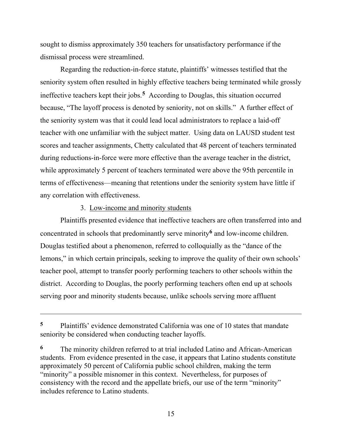sought to dismiss approximately 350 teachers for unsatisfactory performance if the dismissal process were streamlined.

Regarding the reduction-in-force statute, plaintiffs' witnesses testified that the seniority system often resulted in highly effective teachers being terminated while grossly ineffective teachers kept their jobs.**<sup>5</sup>** According to Douglas, this situation occurred because, "The layoff process is denoted by seniority, not on skills." A further effect of the seniority system was that it could lead local administrators to replace a laid-off teacher with one unfamiliar with the subject matter. Using data on LAUSD student test scores and teacher assignments, Chetty calculated that 48 percent of teachers terminated during reductions-in-force were more effective than the average teacher in the district, while approximately 5 percent of teachers terminated were above the 95th percentile in terms of effectiveness—meaning that retentions under the seniority system have little if any correlation with effectiveness.

## 3. Low-income and minority students

Plaintiffs presented evidence that ineffective teachers are often transferred into and concentrated in schools that predominantly serve minority**<sup>6</sup>** and low-income children. Douglas testified about a phenomenon, referred to colloquially as the "dance of the lemons," in which certain principals, seeking to improve the quality of their own schools' teacher pool, attempt to transfer poorly performing teachers to other schools within the district. According to Douglas, the poorly performing teachers often end up at schools serving poor and minority students because, unlike schools serving more affluent

**<sup>5</sup>** Plaintiffs' evidence demonstrated California was one of 10 states that mandate seniority be considered when conducting teacher layoffs.

**<sup>6</sup>** The minority children referred to at trial included Latino and African-American students. From evidence presented in the case, it appears that Latino students constitute approximately 50 percent of California public school children, making the term "minority" a possible misnomer in this context. Nevertheless, for purposes of consistency with the record and the appellate briefs, our use of the term "minority" includes reference to Latino students.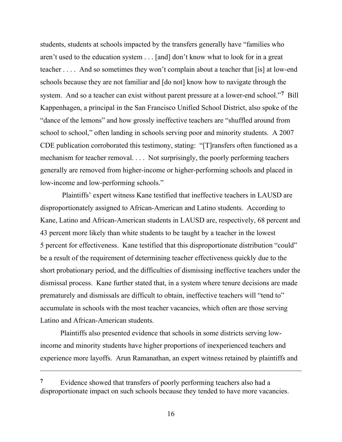students, students at schools impacted by the transfers generally have "families who aren't used to the education system . . . [and] don't know what to look for in a great teacher . . . . And so sometimes they won't complain about a teacher that [is] at low-end schools because they are not familiar and [do not] know how to navigate through the system. And so a teacher can exist without parent pressure at a lower-end school."**<sup>7</sup>** Bill Kappenhagen, a principal in the San Francisco Unified School District, also spoke of the "dance of the lemons" and how grossly ineffective teachers are "shuffled around from school to school," often landing in schools serving poor and minority students. A 2007 CDE publication corroborated this testimony, stating: "[T]ransfers often functioned as a mechanism for teacher removal. . . . Not surprisingly, the poorly performing teachers generally are removed from higher-income or higher-performing schools and placed in low-income and low-performing schools."

Plaintiffs' expert witness Kane testified that ineffective teachers in LAUSD are disproportionately assigned to African-American and Latino students. According to Kane, Latino and African-American students in LAUSD are, respectively, 68 percent and 43 percent more likely than white students to be taught by a teacher in the lowest 5 percent for effectiveness. Kane testified that this disproportionate distribution "could" be a result of the requirement of determining teacher effectiveness quickly due to the short probationary period, and the difficulties of dismissing ineffective teachers under the dismissal process. Kane further stated that, in a system where tenure decisions are made prematurely and dismissals are difficult to obtain, ineffective teachers will "tend to" accumulate in schools with the most teacher vacancies, which often are those serving Latino and African-American students.

Plaintiffs also presented evidence that schools in some districts serving lowincome and minority students have higher proportions of inexperienced teachers and experience more layoffs. Arun Ramanathan, an expert witness retained by plaintiffs and

<sup>&</sup>lt;sup>7</sup> Evidence showed that transfers of poorly performing teachers also had a disproportionate impact on such schools because they tended to have more vacancies.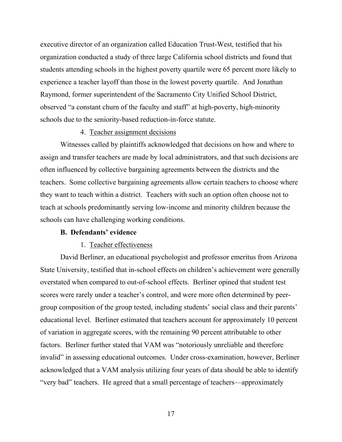executive director of an organization called Education Trust-West, testified that his organization conducted a study of three large California school districts and found that students attending schools in the highest poverty quartile were 65 percent more likely to experience a teacher layoff than those in the lowest poverty quartile. And Jonathan Raymond, former superintendent of the Sacramento City Unified School District, observed "a constant churn of the faculty and staff" at high-poverty, high-minority schools due to the seniority-based reduction-in-force statute.

### 4. Teacher assignment decisions

Witnesses called by plaintiffs acknowledged that decisions on how and where to assign and transfer teachers are made by local administrators, and that such decisions are often influenced by collective bargaining agreements between the districts and the teachers. Some collective bargaining agreements allow certain teachers to choose where they want to teach within a district. Teachers with such an option often choose not to teach at schools predominantly serving low-income and minority children because the schools can have challenging working conditions.

### **B. Defendants' evidence**

#### 1. Teacher effectiveness

David Berliner, an educational psychologist and professor emeritus from Arizona State University, testified that in-school effects on children's achievement were generally overstated when compared to out-of-school effects. Berliner opined that student test scores were rarely under a teacher's control, and were more often determined by peergroup composition of the group tested, including students' social class and their parents' educational level. Berliner estimated that teachers account for approximately 10 percent of variation in aggregate scores, with the remaining 90 percent attributable to other factors. Berliner further stated that VAM was "notoriously unreliable and therefore invalid" in assessing educational outcomes. Under cross-examination, however, Berliner acknowledged that a VAM analysis utilizing four years of data should be able to identify "very bad" teachers. He agreed that a small percentage of teachers—approximately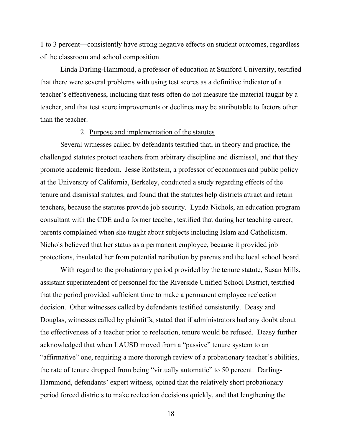1 to 3 percent—consistently have strong negative effects on student outcomes, regardless of the classroom and school composition.

Linda Darling-Hammond, a professor of education at Stanford University, testified that there were several problems with using test scores as a definitive indicator of a teacher's effectiveness, including that tests often do not measure the material taught by a teacher, and that test score improvements or declines may be attributable to factors other than the teacher.

## 2. Purpose and implementation of the statutes

Several witnesses called by defendants testified that, in theory and practice, the challenged statutes protect teachers from arbitrary discipline and dismissal, and that they promote academic freedom. Jesse Rothstein, a professor of economics and public policy at the University of California, Berkeley, conducted a study regarding effects of the tenure and dismissal statutes, and found that the statutes help districts attract and retain teachers, because the statutes provide job security. Lynda Nichols, an education program consultant with the CDE and a former teacher, testified that during her teaching career, parents complained when she taught about subjects including Islam and Catholicism. Nichols believed that her status as a permanent employee, because it provided job protections, insulated her from potential retribution by parents and the local school board.

With regard to the probationary period provided by the tenure statute, Susan Mills, assistant superintendent of personnel for the Riverside Unified School District, testified that the period provided sufficient time to make a permanent employee reelection decision. Other witnesses called by defendants testified consistently. Deasy and Douglas, witnesses called by plaintiffs, stated that if administrators had any doubt about the effectiveness of a teacher prior to reelection, tenure would be refused. Deasy further acknowledged that when LAUSD moved from a "passive" tenure system to an "affirmative" one, requiring a more thorough review of a probationary teacher's abilities, the rate of tenure dropped from being "virtually automatic" to 50 percent. Darling-Hammond, defendants' expert witness, opined that the relatively short probationary period forced districts to make reelection decisions quickly, and that lengthening the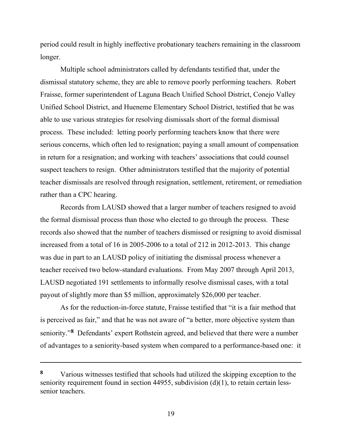period could result in highly ineffective probationary teachers remaining in the classroom longer.

Multiple school administrators called by defendants testified that, under the dismissal statutory scheme, they are able to remove poorly performing teachers. Robert Fraisse, former superintendent of Laguna Beach Unified School District, Conejo Valley Unified School District, and Hueneme Elementary School District, testified that he was able to use various strategies for resolving dismissals short of the formal dismissal process. These included: letting poorly performing teachers know that there were serious concerns, which often led to resignation; paying a small amount of compensation in return for a resignation; and working with teachers' associations that could counsel suspect teachers to resign. Other administrators testified that the majority of potential teacher dismissals are resolved through resignation, settlement, retirement, or remediation rather than a CPC hearing.

Records from LAUSD showed that a larger number of teachers resigned to avoid the formal dismissal process than those who elected to go through the process. These records also showed that the number of teachers dismissed or resigning to avoid dismissal increased from a total of 16 in 2005-2006 to a total of 212 in 2012-2013. This change was due in part to an LAUSD policy of initiating the dismissal process whenever a teacher received two below-standard evaluations. From May 2007 through April 2013, LAUSD negotiated 191 settlements to informally resolve dismissal cases, with a total payout of slightly more than \$5 million, approximately \$26,000 per teacher.

As for the reduction-in-force statute, Fraisse testified that "it is a fair method that is perceived as fair," and that he was not aware of "a better, more objective system than seniority."**<sup>8</sup>** Defendants' expert Rothstein agreed, and believed that there were a number of advantages to a seniority-based system when compared to a performance-based one: it

**<sup>8</sup>** Various witnesses testified that schools had utilized the skipping exception to the seniority requirement found in section 44955, subdivision (d)(1), to retain certain lesssenior teachers.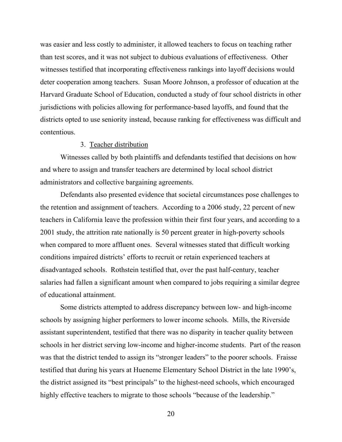was easier and less costly to administer, it allowed teachers to focus on teaching rather than test scores, and it was not subject to dubious evaluations of effectiveness. Other witnesses testified that incorporating effectiveness rankings into layoff decisions would deter cooperation among teachers. Susan Moore Johnson, a professor of education at the Harvard Graduate School of Education, conducted a study of four school districts in other jurisdictions with policies allowing for performance-based layoffs, and found that the districts opted to use seniority instead, because ranking for effectiveness was difficult and contentious.

## 3. Teacher distribution

Witnesses called by both plaintiffs and defendants testified that decisions on how and where to assign and transfer teachers are determined by local school district administrators and collective bargaining agreements.

Defendants also presented evidence that societal circumstances pose challenges to the retention and assignment of teachers. According to a 2006 study, 22 percent of new teachers in California leave the profession within their first four years, and according to a 2001 study, the attrition rate nationally is 50 percent greater in high-poverty schools when compared to more affluent ones. Several witnesses stated that difficult working conditions impaired districts' efforts to recruit or retain experienced teachers at disadvantaged schools. Rothstein testified that, over the past half-century, teacher salaries had fallen a significant amount when compared to jobs requiring a similar degree of educational attainment.

Some districts attempted to address discrepancy between low- and high-income schools by assigning higher performers to lower income schools. Mills, the Riverside assistant superintendent, testified that there was no disparity in teacher quality between schools in her district serving low-income and higher-income students. Part of the reason was that the district tended to assign its "stronger leaders" to the poorer schools. Fraisse testified that during his years at Hueneme Elementary School District in the late 1990's, the district assigned its "best principals" to the highest-need schools, which encouraged highly effective teachers to migrate to those schools "because of the leadership."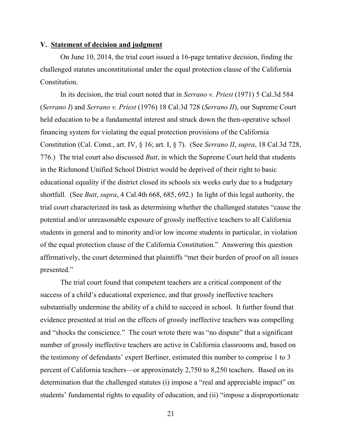#### **V. Statement of decision and judgment**

On June 10, 2014, the trial court issued a 16-page tentative decision, finding the challenged statutes unconstitutional under the equal protection clause of the California Constitution.

In its decision, the trial court noted that in *Serrano v. Priest* (1971) 5 Cal.3d 584 (*Serrano I*) and *Serrano v. Priest* (1976) 18 Cal.3d 728 (*Serrano II*), our Supreme Court held education to be a fundamental interest and struck down the then-operative school financing system for violating the equal protection provisions of the California Constitution (Cal. Const., art. IV, § 16; art. I, § 7). (See *Serrano II*, *supra*, 18 Cal.3d 728, 776.) The trial court also discussed *Butt*, in which the Supreme Court held that students in the Richmond Unified School District would be deprived of their right to basic educational equality if the district closed its schools six weeks early due to a budgetary shortfall. (See *Butt*, *supra*, 4 Cal.4th 668, 685, 692.) In light of this legal authority, the trial court characterized its task as determining whether the challenged statutes "cause the potential and/or unreasonable exposure of grossly ineffective teachers to all California students in general and to minority and/or low income students in particular, in violation of the equal protection clause of the California Constitution." Answering this question affirmatively, the court determined that plaintiffs "met their burden of proof on all issues presented."

The trial court found that competent teachers are a critical component of the success of a child's educational experience, and that grossly ineffective teachers substantially undermine the ability of a child to succeed in school. It further found that evidence presented at trial on the effects of grossly ineffective teachers was compelling and "shocks the conscience." The court wrote there was "no dispute" that a significant number of grossly ineffective teachers are active in California classrooms and, based on the testimony of defendants' expert Berliner, estimated this number to comprise 1 to 3 percent of California teachers—or approximately 2,750 to 8,250 teachers. Based on its determination that the challenged statutes (i) impose a "real and appreciable impact" on students' fundamental rights to equality of education, and (ii) "impose a disproportionate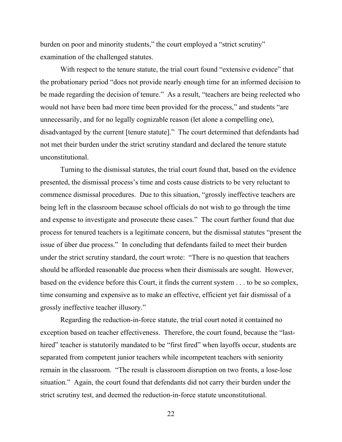burden on poor and minority students," the court employed a "strict scrutiny" examination of the challenged statutes.

With respect to the tenure statute, the trial court found "extensive evidence" that the probationary period "does not provide nearly enough time for an informed decision to be made regarding the decision of tenure." As a result, "teachers are being reelected who would not have been had more time been provided for the process," and students "are unnecessarily, and for no legally cognizable reason (let alone a compelling one), disadvantaged by the current [tenure statute]." The court determined that defendants had not met their burden under the strict scrutiny standard and declared the tenure statute unconstitutional.

Turning to the dismissal statutes, the trial court found that, based on the evidence presented, the dismissal process's time and costs cause districts to be very reluctant to commence dismissal procedures. Due to this situation, "grossly ineffective teachers are being left in the classroom because school officials do not wish to go through the time and expense to investigate and prosecute these cases." The court further found that due process for tenured teachers is a legitimate concern, but the dismissal statutes "present the issue of über due process." In concluding that defendants failed to meet their burden under the strict scrutiny standard, the court wrote: "There is no question that teachers should be afforded reasonable due process when their dismissals are sought. However, based on the evidence before this Court, it finds the current system . . . to be so complex, time consuming and expensive as to make an effective, efficient yet fair dismissal of a grossly ineffective teacher illusory."

Regarding the reduction-in-force statute, the trial court noted it contained no exception based on teacher effectiveness. Therefore, the court found, because the "lasthired" teacher is statutorily mandated to be "first fired" when layoffs occur, students are separated from competent junior teachers while incompetent teachers with seniority remain in the classroom. "The result is classroom disruption on two fronts, a lose-lose situation." Again, the court found that defendants did not carry their burden under the strict scrutiny test, and deemed the reduction-in-force statute unconstitutional.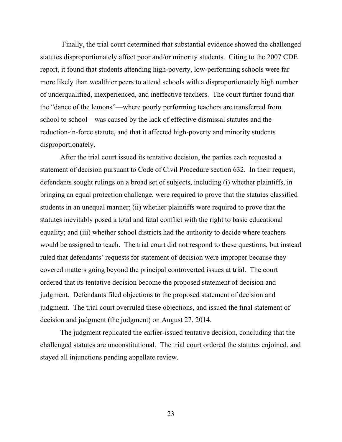Finally, the trial court determined that substantial evidence showed the challenged statutes disproportionately affect poor and/or minority students. Citing to the 2007 CDE report, it found that students attending high-poverty, low-performing schools were far more likely than wealthier peers to attend schools with a disproportionately high number of underqualified, inexperienced, and ineffective teachers. The court further found that the "dance of the lemons"—where poorly performing teachers are transferred from school to school—was caused by the lack of effective dismissal statutes and the reduction-in-force statute, and that it affected high-poverty and minority students disproportionately.

After the trial court issued its tentative decision, the parties each requested a statement of decision pursuant to Code of Civil Procedure section 632. In their request, defendants sought rulings on a broad set of subjects, including (i) whether plaintiffs, in bringing an equal protection challenge, were required to prove that the statutes classified students in an unequal manner; (ii) whether plaintiffs were required to prove that the statutes inevitably posed a total and fatal conflict with the right to basic educational equality; and (iii) whether school districts had the authority to decide where teachers would be assigned to teach. The trial court did not respond to these questions, but instead ruled that defendants' requests for statement of decision were improper because they covered matters going beyond the principal controverted issues at trial. The court ordered that its tentative decision become the proposed statement of decision and judgment. Defendants filed objections to the proposed statement of decision and judgment. The trial court overruled these objections, and issued the final statement of decision and judgment (the judgment) on August 27, 2014.

The judgment replicated the earlier-issued tentative decision, concluding that the challenged statutes are unconstitutional. The trial court ordered the statutes enjoined, and stayed all injunctions pending appellate review.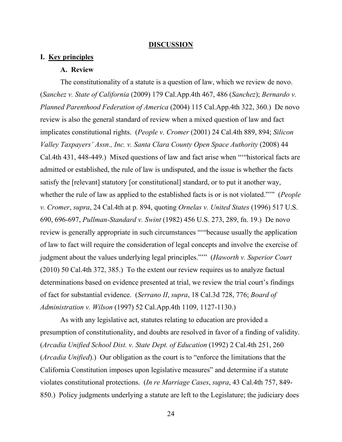#### **DISCUSSION**

# **I. Key principles**

#### **A. Review**

The constitutionality of a statute is a question of law, which we review de novo. (*Sanchez v. State of California* (2009) 179 Cal.App.4th 467, 486 (*Sanchez*); *Bernardo v. Planned Parenthood Federation of America* (2004) 115 Cal.App.4th 322, 360.) De novo review is also the general standard of review when a mixed question of law and fact implicates constitutional rights. (*People v. Cromer* (2001) 24 Cal.4th 889, 894; *Silicon Valley Taxpayers' Assn., Inc. v. Santa Clara County Open Space Authority* (2008) 44 Cal.4th 431, 448-449.) Mixed questions of law and fact arise when "'"historical facts are admitted or established, the rule of law is undisputed, and the issue is whether the facts satisfy the [relevant] statutory [or constitutional] standard, or to put it another way, whether the rule of law as applied to the established facts is or is not violated."'" (*People v. Cromer*, *supra*, 24 Cal.4th at p. 894, quoting *Ornelas v. United States* (1996) 517 U.S. 690, 696-697, *Pullman-Standard v. Swint* (1982) 456 U.S. 273, 289, fn. 19.) De novo review is generally appropriate in such circumstances "'"because usually the application of law to fact will require the consideration of legal concepts and involve the exercise of judgment about the values underlying legal principles."'" (*Haworth v. Superior Court* (2010) 50 Cal.4th 372, 385.) To the extent our review requires us to analyze factual determinations based on evidence presented at trial, we review the trial court's findings of fact for substantial evidence. (*Serrano II*, *supra*, 18 Cal.3d 728, 776; *Board of Administration v. Wilson* (1997) 52 Cal.App.4th 1109, 1127-1130.)

As with any legislative act, statutes relating to education are provided a presumption of constitutionality, and doubts are resolved in favor of a finding of validity. (*Arcadia Unified School Dist. v. State Dept. of Education* (1992) 2 Cal.4th 251, 260 (*Arcadia Unified*).) Our obligation as the court is to "enforce the limitations that the California Constitution imposes upon legislative measures" and determine if a statute violates constitutional protections. (*In re Marriage Cases*, *supra*, 43 Cal.4th 757, 849- 850.) Policy judgments underlying a statute are left to the Legislature; the judiciary does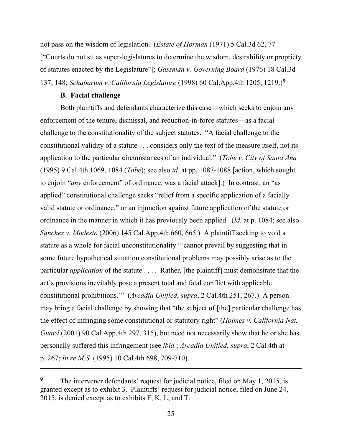not pass on the wisdom of legislation. (*Estate of Horman* (1971) 5 Cal.3d 62, 77 ["Courts do not sit as super-legislatures to determine the wisdom, desirability or propriety of statutes enacted by the Legislature"]; *Gassman v. Governing Board* (1976) 18 Cal.3d 137, 148; *Schabarum v. California Legislature* (1998) 60 Cal.App.4th 1205, 1219.)**<sup>9</sup>**

## **B. Facial challenge**

Both plaintiffs and defendants characterize this case—which seeks to enjoin any enforcement of the tenure, dismissal, and reduction-in-force statutes—as a facial challenge to the constitutionality of the subject statutes. "A facial challenge to the constitutional validity of a statute . . . considers only the text of the measure itself, not its application to the particular circumstances of an individual." (*Tobe v. City of Santa Ana* (1995) 9 Cal.4th 1069, 1084 (*Tobe*); see also *id.* at pp. 1087-1088 [action, which sought to enjoin "*any* enforcement" of ordinance, was a facial attack].) In contrast, an "as applied" constitutional challenge seeks "relief from a specific application of a facially valid statute or ordinance," or an injunction against future application of the statute or ordinance in the manner in which it has previously been applied. (*Id.* at p. 1084; see also *Sanchez v. Modesto* (2006) 145 Cal.App.4th 660, 665.) A plaintiff seeking to void a statute as a whole for facial unconstitutionality "'cannot prevail by suggesting that in some future hypothetical situation constitutional problems may possibly arise as to the particular *application* of the statute . . . . Rather, [the plaintiff] must demonstrate that the act's provisions inevitably pose a present total and fatal conflict with applicable constitutional prohibitions.'" (*Arcadia Unified*, *supra*, 2 Cal.4th 251, 267.) A person may bring a facial challenge by showing that "the subject of [the] particular challenge has the effect of infringing some constitutional or statutory right" (*Holmes v. California Nat. Guard* (2001) 90 Cal.App.4th 297, 315), but need not necessarily show that he or she has personally suffered this infringement (see *ibid.*; *Arcadia Unified*, *supra*, 2 Cal.4th at p. 267; *In re M.S.* (1995) 10 Cal.4th 698, 709-710).

**<sup>9</sup>** The intervener defendants' request for judicial notice, filed on May 1, 2015, is granted except as to exhibit 3. Plaintiffs' request for judicial notice, filed on June 24, 2015, is denied except as to exhibits F, K, L, and T.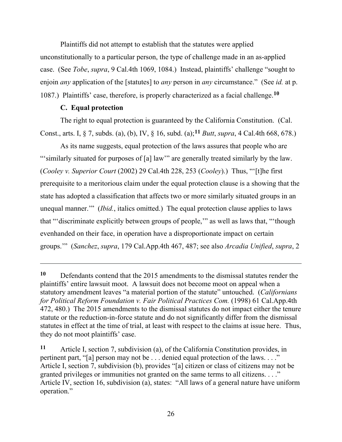Plaintiffs did not attempt to establish that the statutes were applied unconstitutionally to a particular person, the type of challenge made in an as-applied case. (See *Tobe*, *supra*, 9 Cal.4th 1069, 1084.) Instead, plaintiffs' challenge "sought to enjoin *any* application of the [statutes] to *any* person in *any* circumstance." (See *id.* at p. 1087.) Plaintiffs' case, therefore, is properly characterized as a facial challenge.**<sup>10</sup>**

## **C. Equal protection**

The right to equal protection is guaranteed by the California Constitution. (Cal. Const., arts. I, § 7, subds. (a), (b), IV, § 16, subd. (a);**<sup>11</sup>** *Butt*, *supra*, 4 Cal.4th 668, 678.)

As its name suggests, equal protection of the laws assures that people who are "'similarly situated for purposes of [a] law'" are generally treated similarly by the law. (*Cooley v. Superior Court* (2002) 29 Cal.4th 228, 253 (*Cooley*).) Thus, "'[t]he first prerequisite to a meritorious claim under the equal protection clause is a showing that the state has adopted a classification that affects two or more similarly situated groups in an unequal manner.'" (*Ibid.*, italics omitted.) The equal protection clause applies to laws that "'discriminate explicitly between groups of people,'" as well as laws that, "'though evenhanded on their face, in operation have a disproportionate impact on certain groups.'" (*Sanchez*, *supra*, 179 Cal.App.4th 467, 487; see also *Arcadia Unified*, *supra*, 2

**<sup>11</sup>** Article I, section 7, subdivision (a), of the California Constitution provides, in pertinent part, "[a] person may not be ... denied equal protection of the laws...." Article I, section 7, subdivision (b), provides "[a] citizen or class of citizens may not be granted privileges or immunities not granted on the same terms to all citizens. . . ." Article IV, section 16, subdivision (a), states: "All laws of a general nature have uniform operation."

**<sup>10</sup>** Defendants contend that the 2015 amendments to the dismissal statutes render the plaintiffs' entire lawsuit moot. A lawsuit does not become moot on appeal when a statutory amendment leaves "a material portion of the statute" untouched. (*Californians for Political Reform Foundation v. Fair Political Practices Com.* (1998) 61 Cal.App.4th 472, 480.) The 2015 amendments to the dismissal statutes do not impact either the tenure statute or the reduction-in-force statute and do not significantly differ from the dismissal statutes in effect at the time of trial, at least with respect to the claims at issue here. Thus, they do not moot plaintiffs' case.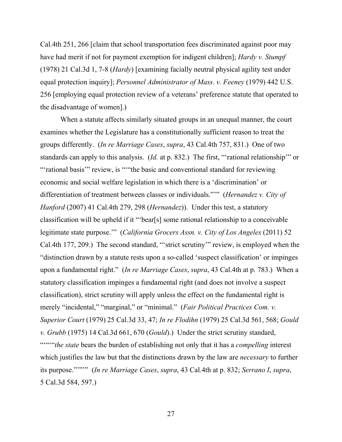Cal.4th 251, 266 [claim that school transportation fees discriminated against poor may have had merit if not for payment exemption for indigent children]; *Hardy v. Stumpf*  (1978) 21 Cal.3d 1, 7-8 (*Hardy*) [examining facially neutral physical agility test under equal protection inquiry]; *Personnel Administrator of Mass. v. Feeney* (1979) 442 U.S. 256 [employing equal protection review of a veterans' preference statute that operated to the disadvantage of women].)

When a statute affects similarly situated groups in an unequal manner, the court examines whether the Legislature has a constitutionally sufficient reason to treat the groups differently. (*In re Marriage Cases*, *supra*, 43 Cal.4th 757, 831.) One of two standards can apply to this analysis. (*Id.* at p. 832.) The first, "'rational relationship'" or "'rational basis'" review, is """the basic and conventional standard for reviewing economic and social welfare legislation in which there is a 'discrimination' or differentiation of treatment between classes or individuals."'" (*Hernandez v. City of Hanford* (2007) 41 Cal.4th 279, 298 (*Hernandez*)). Under this test, a statutory classification will be upheld if it "'bear[s] some rational relationship to a conceivable legitimate state purpose.'" (*California Grocers Assn. v. City of Los Angeles* (2011) 52 Cal.4th 177, 209.) The second standard, "'strict scrutiny'" review, is employed when the "distinction drawn by a statute rests upon a so-called 'suspect classification' or impinges upon a fundamental right." (*In re Marriage Cases*, *supra*, 43 Cal.4th at p. 783.) When a statutory classification impinges a fundamental right (and does not involve a suspect classification), strict scrutiny will apply unless the effect on the fundamental right is merely "incidental," "marginal," or "minimal." (*Fair Political Practices Com. v. Superior Court* (1979) 25 Cal.3d 33, 47; *In re Flodihn* (1979) 25 Cal.3d 561, 568; *Gould v. Grubb* (1975) 14 Cal.3d 661, 670 (*Gould*).) Under the strict scrutiny standard, """" the state bears the burden of establishing not only that it has a *compelling* interest which justifies the law but that the distinctions drawn by the law are *necessary* to further its purpose."'"'" (*In re Marriage Cases*, *supra*, 43 Cal.4th at p. 832; *Serrano I*, *supra*, 5 Cal.3d 584, 597.)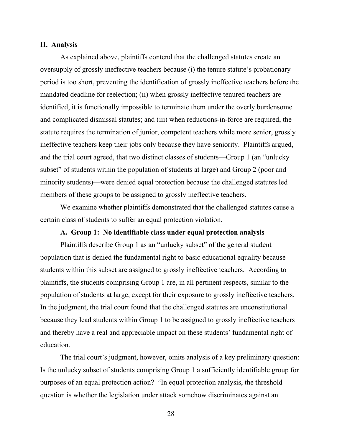### **II. Analysis**

As explained above, plaintiffs contend that the challenged statutes create an oversupply of grossly ineffective teachers because (i) the tenure statute's probationary period is too short, preventing the identification of grossly ineffective teachers before the mandated deadline for reelection; (ii) when grossly ineffective tenured teachers are identified, it is functionally impossible to terminate them under the overly burdensome and complicated dismissal statutes; and (iii) when reductions-in-force are required, the statute requires the termination of junior, competent teachers while more senior, grossly ineffective teachers keep their jobs only because they have seniority. Plaintiffs argued, and the trial court agreed, that two distinct classes of students—Group 1 (an "unlucky subset" of students within the population of students at large) and Group 2 (poor and minority students)—were denied equal protection because the challenged statutes led members of these groups to be assigned to grossly ineffective teachers.

We examine whether plaintiffs demonstrated that the challenged statutes cause a certain class of students to suffer an equal protection violation.

## **A. Group 1: No identifiable class under equal protection analysis**

Plaintiffs describe Group 1 as an "unlucky subset" of the general student population that is denied the fundamental right to basic educational equality because students within this subset are assigned to grossly ineffective teachers. According to plaintiffs, the students comprising Group 1 are, in all pertinent respects, similar to the population of students at large, except for their exposure to grossly ineffective teachers. In the judgment, the trial court found that the challenged statutes are unconstitutional because they lead students within Group 1 to be assigned to grossly ineffective teachers and thereby have a real and appreciable impact on these students' fundamental right of education.

The trial court's judgment, however, omits analysis of a key preliminary question: Is the unlucky subset of students comprising Group 1 a sufficiently identifiable group for purposes of an equal protection action? "In equal protection analysis, the threshold question is whether the legislation under attack somehow discriminates against an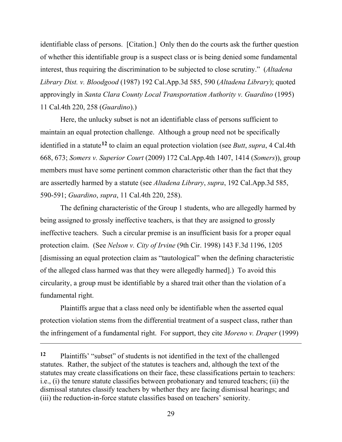identifiable class of persons. [Citation.] Only then do the courts ask the further question of whether this identifiable group is a suspect class or is being denied some fundamental interest, thus requiring the discrimination to be subjected to close scrutiny." (*Altadena Library Dist. v. Bloodgood* (1987) 192 Cal.App.3d 585, 590 (*Altadena Library*); quoted approvingly in *Santa Clara County Local Transportation Authority v. Guardino* (1995) 11 Cal.4th 220, 258 (*Guardino*).)

Here, the unlucky subset is not an identifiable class of persons sufficient to maintain an equal protection challenge. Although a group need not be specifically identified in a statute**<sup>12</sup>** to claim an equal protection violation (see *Butt*, *supra*, 4 Cal.4th 668, 673; *Somers v. Superior Court* (2009) 172 Cal.App.4th 1407, 1414 (*Somers*)), group members must have some pertinent common characteristic other than the fact that they are assertedly harmed by a statute (see *Altadena Library*, *supra*, 192 Cal.App.3d 585, 590-591; *Guardino*, *supra*, 11 Cal.4th 220, 258).

The defining characteristic of the Group 1 students, who are allegedly harmed by being assigned to grossly ineffective teachers, is that they are assigned to grossly ineffective teachers. Such a circular premise is an insufficient basis for a proper equal protection claim. (See *Nelson v. City of Irvine* (9th Cir. 1998) 143 F.3d 1196, 1205 [dismissing an equal protection claim as "tautological" when the defining characteristic of the alleged class harmed was that they were allegedly harmed].) To avoid this circularity, a group must be identifiable by a shared trait other than the violation of a fundamental right.

Plaintiffs argue that a class need only be identifiable when the asserted equal protection violation stems from the differential treatment of a suspect class, rather than the infringement of a fundamental right. For support, they cite *Moreno v. Draper* (1999)

**<sup>12</sup>** Plaintiffs' "subset" of students is not identified in the text of the challenged statutes. Rather, the subject of the statutes is teachers and, although the text of the statutes may create classifications on their face, these classifications pertain to teachers: i.e., (i) the tenure statute classifies between probationary and tenured teachers; (ii) the dismissal statutes classify teachers by whether they are facing dismissal hearings; and (iii) the reduction-in-force statute classifies based on teachers' seniority.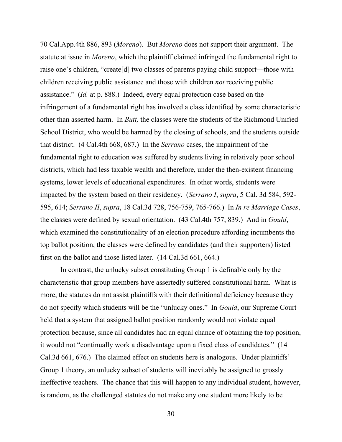70 Cal.App.4th 886, 893 (*Moreno*). But *Moreno* does not support their argument. The statute at issue in *Moreno*, which the plaintiff claimed infringed the fundamental right to raise one's children, "create[d] two classes of parents paying child support—those with children receiving public assistance and those with children *not* receiving public assistance." (*Id.* at p. 888.) Indeed, every equal protection case based on the infringement of a fundamental right has involved a class identified by some characteristic other than asserted harm. In *Butt,* the classes were the students of the Richmond Unified School District, who would be harmed by the closing of schools, and the students outside that district. (4 Cal.4th 668, 687.) In the *Serrano* cases, the impairment of the fundamental right to education was suffered by students living in relatively poor school districts, which had less taxable wealth and therefore, under the then-existent financing systems, lower levels of educational expenditures. In other words, students were impacted by the system based on their residency. (*Serrano I*, *supra*, 5 Cal. 3d 584, 592- 595, 614; *Serrano II*, *supra*, 18 Cal.3d 728, 756-759, 765-766.) In *In re Marriage Cases*, the classes were defined by sexual orientation. (43 Cal.4th 757, 839.) And in *Gould*, which examined the constitutionality of an election procedure affording incumbents the top ballot position, the classes were defined by candidates (and their supporters) listed first on the ballot and those listed later. (14 Cal.3d 661, 664.)

In contrast, the unlucky subset constituting Group 1 is definable only by the characteristic that group members have assertedly suffered constitutional harm. What is more, the statutes do not assist plaintiffs with their definitional deficiency because they do not specify which students will be the "unlucky ones." In *Gould*, our Supreme Court held that a system that assigned ballot position randomly would not violate equal protection because, since all candidates had an equal chance of obtaining the top position, it would not "continually work a disadvantage upon a fixed class of candidates." (14 Cal.3d 661, 676.) The claimed effect on students here is analogous. Under plaintiffs' Group 1 theory, an unlucky subset of students will inevitably be assigned to grossly ineffective teachers. The chance that this will happen to any individual student, however, is random, as the challenged statutes do not make any one student more likely to be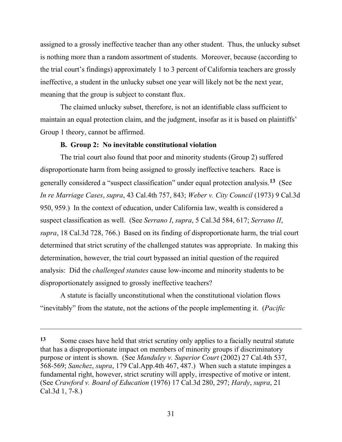assigned to a grossly ineffective teacher than any other student. Thus, the unlucky subset is nothing more than a random assortment of students. Moreover, because (according to the trial court's findings) approximately 1 to 3 percent of California teachers are grossly ineffective, a student in the unlucky subset one year will likely not be the next year, meaning that the group is subject to constant flux.

The claimed unlucky subset, therefore, is not an identifiable class sufficient to maintain an equal protection claim, and the judgment, insofar as it is based on plaintiffs' Group 1 theory, cannot be affirmed.

## **B. Group 2: No inevitable constitutional violation**

The trial court also found that poor and minority students (Group 2) suffered disproportionate harm from being assigned to grossly ineffective teachers. Race is generally considered a "suspect classification" under equal protection analysis.**<sup>13</sup>** (See *In re Marriage Cases*, *supra*, 43 Cal.4th 757, 843; *Weber v. City Council* (1973) 9 Cal.3d 950, 959.) In the context of education, under California law, wealth is considered a suspect classification as well. (See *Serrano I*, *supra*, 5 Cal.3d 584, 617; *Serrano II*, *supra*, 18 Cal.3d 728, 766.) Based on its finding of disproportionate harm, the trial court determined that strict scrutiny of the challenged statutes was appropriate. In making this determination, however, the trial court bypassed an initial question of the required analysis: Did the *challenged statutes* cause low-income and minority students to be disproportionately assigned to grossly ineffective teachers?

A statute is facially unconstitutional when the constitutional violation flows "inevitably" from the statute, not the actions of the people implementing it. (*Pacific* 

<sup>13</sup> Some cases have held that strict scrutiny only applies to a facially neutral statute that has a disproportionate impact on members of minority groups if discriminatory purpose or intent is shown. (See *Manduley v. Superior Court* (2002) 27 Cal.4th 537, 568-569; *Sanchez*, *supra*, 179 Cal.App.4th 467, 487.) When such a statute impinges a fundamental right, however, strict scrutiny will apply, irrespective of motive or intent. (See *Crawford v. Board of Education* (1976) 17 Cal.3d 280, 297; *Hardy*, *supra*, 21 Cal.3d 1, 7-8.)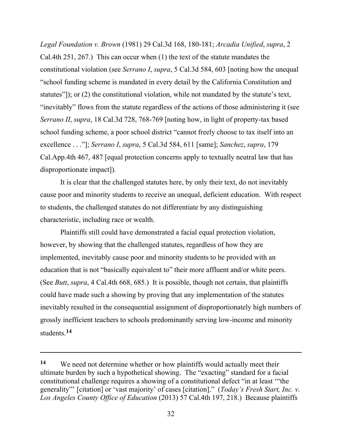*Legal Foundation v. Brown* (1981) 29 Cal.3d 168, 180-181; *Arcadia Unified*, *supra*, 2 Cal.4th 251, 267.) This can occur when (1) the text of the statute mandates the constitutional violation (see *Serrano I*, *supra*, 5 Cal.3d 584, 603 [noting how the unequal "school funding scheme is mandated in every detail by the California Constitution and statutes"]); or (2) the constitutional violation, while not mandated by the statute's text, "inevitably" flows from the statute regardless of the actions of those administering it (see *Serrano II*, *supra*, 18 Cal.3d 728, 768-769 [noting how, in light of property-tax based school funding scheme, a poor school district "cannot freely choose to tax itself into an excellence . . ."]; *Serrano I*, *supra*, 5 Cal.3d 584, 611 [same]; *Sanchez*, *supra*, 179 Cal.App.4th 467, 487 [equal protection concerns apply to textually neutral law that has disproportionate impact]).

It is clear that the challenged statutes here, by only their text, do not inevitably cause poor and minority students to receive an unequal, deficient education. With respect to students, the challenged statutes do not differentiate by any distinguishing characteristic, including race or wealth.

Plaintiffs still could have demonstrated a facial equal protection violation, however, by showing that the challenged statutes, regardless of how they are implemented, inevitably cause poor and minority students to be provided with an education that is not "basically equivalent to" their more affluent and/or white peers. (See *Butt*, *supra*, 4 Cal.4th 668, 685.) It is possible, though not certain, that plaintiffs could have made such a showing by proving that any implementation of the statutes inevitably resulted in the consequential assignment of disproportionately high numbers of grossly inefficient teachers to schools predominantly serving low-income and minority students.**<sup>14</sup>**

**<sup>14</sup>** We need not determine whether or how plaintiffs would actually meet their ultimate burden by such a hypothetical showing. The "exacting" standard for a facial constitutional challenge requires a showing of a constitutional defect "in at least '"the generality"' [citation] or 'vast majority' of cases [citation]." (*Today's Fresh Start, Inc. v. Los Angeles County Office of Education* (2013) 57 Cal.4th 197, 218.) Because plaintiffs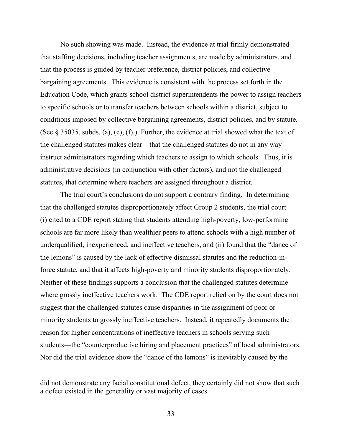No such showing was made. Instead, the evidence at trial firmly demonstrated that staffing decisions, including teacher assignments, are made by administrators, and that the process is guided by teacher preference, district policies, and collective bargaining agreements. This evidence is consistent with the process set forth in the Education Code, which grants school district superintendents the power to assign teachers to specific schools or to transfer teachers between schools within a district, subject to conditions imposed by collective bargaining agreements, district policies, and by statute. (See  $\S$  35035, subds. (a), (e), (f).) Further, the evidence at trial showed what the text of the challenged statutes makes clear—that the challenged statutes do not in any way instruct administrators regarding which teachers to assign to which schools. Thus, it is administrative decisions (in conjunction with other factors), and not the challenged statutes, that determine where teachers are assigned throughout a district.

The trial court's conclusions do not support a contrary finding. In determining that the challenged statutes disproportionately affect Group 2 students, the trial court (i) cited to a CDE report stating that students attending high-poverty, low-performing schools are far more likely than wealthier peers to attend schools with a high number of underqualified, inexperienced, and ineffective teachers, and (ii) found that the "dance of the lemons" is caused by the lack of effective dismissal statutes and the reduction-inforce statute, and that it affects high-poverty and minority students disproportionately. Neither of these findings supports a conclusion that the challenged statutes determine where grossly ineffective teachers work. The CDE report relied on by the court does not suggest that the challenged statutes cause disparities in the assignment of poor or minority students to grossly ineffective teachers. Instead, it repeatedly documents the reason for higher concentrations of ineffective teachers in schools serving such students—the "counterproductive hiring and placement practices" of local administrators. Nor did the trial evidence show the "dance of the lemons" is inevitably caused by the

did not demonstrate any facial constitutional defect, they certainly did not show that such a defect existed in the generality or vast majority of cases.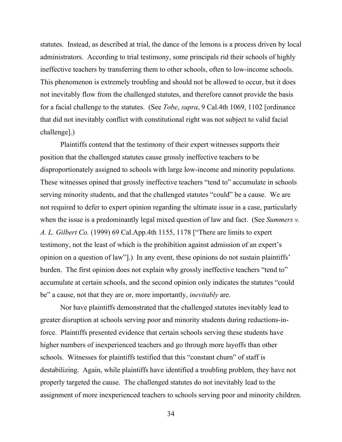statutes. Instead, as described at trial, the dance of the lemons is a process driven by local administrators. According to trial testimony, some principals rid their schools of highly ineffective teachers by transferring them to other schools, often to low-income schools. This phenomenon is extremely troubling and should not be allowed to occur, but it does not inevitably flow from the challenged statutes, and therefore cannot provide the basis for a facial challenge to the statutes. (See *Tobe*, *supra*, 9 Cal.4th 1069, 1102 [ordinance that did not inevitably conflict with constitutional right was not subject to valid facial challenge].)

Plaintiffs contend that the testimony of their expert witnesses supports their position that the challenged statutes cause grossly ineffective teachers to be disproportionately assigned to schools with large low-income and minority populations. These witnesses opined that grossly ineffective teachers "tend to" accumulate in schools serving minority students, and that the challenged statutes "could" be a cause. We are not required to defer to expert opinion regarding the ultimate issue in a case, particularly when the issue is a predominantly legal mixed question of law and fact. (See *Summers v. A. L. Gilbert Co.* (1999) 69 Cal.App.4th 1155, 1178 ["There are limits to expert testimony, not the least of which is the prohibition against admission of an expert's opinion on a question of law"].) In any event, these opinions do not sustain plaintiffs' burden. The first opinion does not explain why grossly ineffective teachers "tend to" accumulate at certain schools, and the second opinion only indicates the statutes "could be" a cause, not that they are or, more importantly, *inevitably* are.

Nor have plaintiffs demonstrated that the challenged statutes inevitably lead to greater disruption at schools serving poor and minority students during reductions-inforce. Plaintiffs presented evidence that certain schools serving these students have higher numbers of inexperienced teachers and go through more layoffs than other schools. Witnesses for plaintiffs testified that this "constant churn" of staff is destabilizing. Again, while plaintiffs have identified a troubling problem, they have not properly targeted the cause. The challenged statutes do not inevitably lead to the assignment of more inexperienced teachers to schools serving poor and minority children.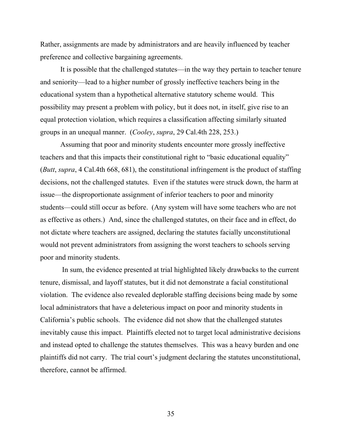Rather, assignments are made by administrators and are heavily influenced by teacher preference and collective bargaining agreements.

It is possible that the challenged statutes—in the way they pertain to teacher tenure and seniority—lead to a higher number of grossly ineffective teachers being in the educational system than a hypothetical alternative statutory scheme would. This possibility may present a problem with policy, but it does not, in itself, give rise to an equal protection violation, which requires a classification affecting similarly situated groups in an unequal manner. (*Cooley*, *supra*, 29 Cal.4th 228, 253.)

Assuming that poor and minority students encounter more grossly ineffective teachers and that this impacts their constitutional right to "basic educational equality" (*Butt*, *supra*, 4 Cal.4th 668, 681), the constitutional infringement is the product of staffing decisions, not the challenged statutes. Even if the statutes were struck down, the harm at issue—the disproportionate assignment of inferior teachers to poor and minority students—could still occur as before. (Any system will have some teachers who are not as effective as others.) And, since the challenged statutes, on their face and in effect, do not dictate where teachers are assigned, declaring the statutes facially unconstitutional would not prevent administrators from assigning the worst teachers to schools serving poor and minority students.

In sum, the evidence presented at trial highlighted likely drawbacks to the current tenure, dismissal, and layoff statutes, but it did not demonstrate a facial constitutional violation. The evidence also revealed deplorable staffing decisions being made by some local administrators that have a deleterious impact on poor and minority students in California's public schools. The evidence did not show that the challenged statutes inevitably cause this impact. Plaintiffs elected not to target local administrative decisions and instead opted to challenge the statutes themselves. This was a heavy burden and one plaintiffs did not carry. The trial court's judgment declaring the statutes unconstitutional, therefore, cannot be affirmed.